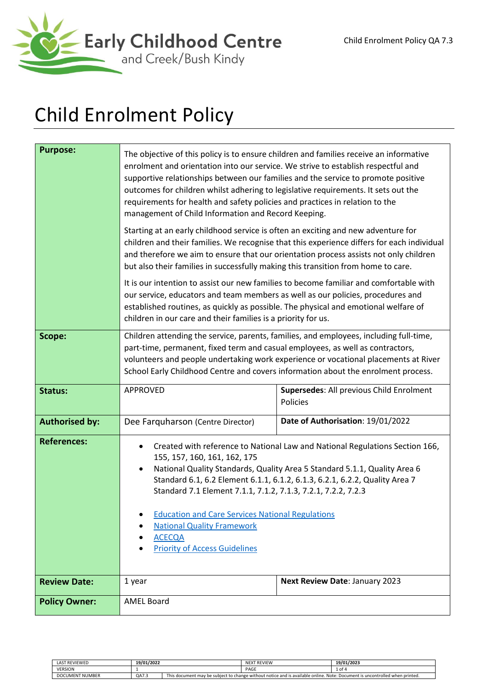

# Child Enrolment Policy

| <b>Purpose:</b>       | The objective of this policy is to ensure children and families receive an informative<br>enrolment and orientation into our service. We strive to establish respectful and<br>supportive relationships between our families and the service to promote positive<br>outcomes for children whilst adhering to legislative requirements. It sets out the<br>requirements for health and safety policies and practices in relation to the<br>management of Child Information and Record Keeping.<br>Starting at an early childhood service is often an exciting and new adventure for<br>children and their families. We recognise that this experience differs for each individual<br>and therefore we aim to ensure that our orientation process assists not only children<br>but also their families in successfully making this transition from home to care.<br>It is our intention to assist our new families to become familiar and comfortable with<br>our service, educators and team members as well as our policies, procedures and<br>established routines, as quickly as possible. The physical and emotional welfare of<br>children in our care and their families is a priority for us. |                                   |  |
|-----------------------|-----------------------------------------------------------------------------------------------------------------------------------------------------------------------------------------------------------------------------------------------------------------------------------------------------------------------------------------------------------------------------------------------------------------------------------------------------------------------------------------------------------------------------------------------------------------------------------------------------------------------------------------------------------------------------------------------------------------------------------------------------------------------------------------------------------------------------------------------------------------------------------------------------------------------------------------------------------------------------------------------------------------------------------------------------------------------------------------------------------------------------------------------------------------------------------------------------|-----------------------------------|--|
| Scope:                | Children attending the service, parents, families, and employees, including full-time,<br>part-time, permanent, fixed term and casual employees, as well as contractors,<br>volunteers and people undertaking work experience or vocational placements at River<br>School Early Childhood Centre and covers information about the enrolment process.                                                                                                                                                                                                                                                                                                                                                                                                                                                                                                                                                                                                                                                                                                                                                                                                                                                |                                   |  |
|                       |                                                                                                                                                                                                                                                                                                                                                                                                                                                                                                                                                                                                                                                                                                                                                                                                                                                                                                                                                                                                                                                                                                                                                                                                     |                                   |  |
| <b>Status:</b>        | APPROVED<br>Supersedes: All previous Child Enrolment<br><b>Policies</b>                                                                                                                                                                                                                                                                                                                                                                                                                                                                                                                                                                                                                                                                                                                                                                                                                                                                                                                                                                                                                                                                                                                             |                                   |  |
| <b>Authorised by:</b> | Dee Farquharson (Centre Director)                                                                                                                                                                                                                                                                                                                                                                                                                                                                                                                                                                                                                                                                                                                                                                                                                                                                                                                                                                                                                                                                                                                                                                   | Date of Authorisation: 19/01/2022 |  |
| <b>References:</b>    | Created with reference to National Law and National Regulations Section 166,<br>$\bullet$<br>155, 157, 160, 161, 162, 175<br>National Quality Standards, Quality Area 5 Standard 5.1.1, Quality Area 6<br>$\bullet$<br>Standard 6.1, 6.2 Element 6.1.1, 6.1.2, 6.1.3, 6.2.1, 6.2.2, Quality Area 7<br>Standard 7.1 Element 7.1.1, 7.1.2, 7.1.3, 7.2.1, 7.2.2, 7.2.3<br><b>Education and Care Services National Regulations</b><br><b>National Quality Framework</b><br><b>ACECQA</b><br><b>Priority of Access Guidelines</b>                                                                                                                                                                                                                                                                                                                                                                                                                                                                                                                                                                                                                                                                        |                                   |  |
| <b>Review Date:</b>   | 1 year<br>Next Review Date: January 2023                                                                                                                                                                                                                                                                                                                                                                                                                                                                                                                                                                                                                                                                                                                                                                                                                                                                                                                                                                                                                                                                                                                                                            |                                   |  |
| <b>Policy Owner:</b>  | <b>AMEL Board</b>                                                                                                                                                                                                                                                                                                                                                                                                                                                                                                                                                                                                                                                                                                                                                                                                                                                                                                                                                                                                                                                                                                                                                                                   |                                   |  |

| <b>LAST REVIEWED</b>   | 19/01/2022 |                                                                                                                                   | <b>NEXT REVIEW</b> | 19/01/2023 |
|------------------------|------------|-----------------------------------------------------------------------------------------------------------------------------------|--------------------|------------|
| <b>VERSION</b>         |            |                                                                                                                                   | PAGE               | ⊥of ⁄      |
| <b>DOCUMENT NUMBER</b> | QA7.3      | This document may be subject to change without notice and is available<br>Note: Document is uncontrolled when printed.<br>online. |                    |            |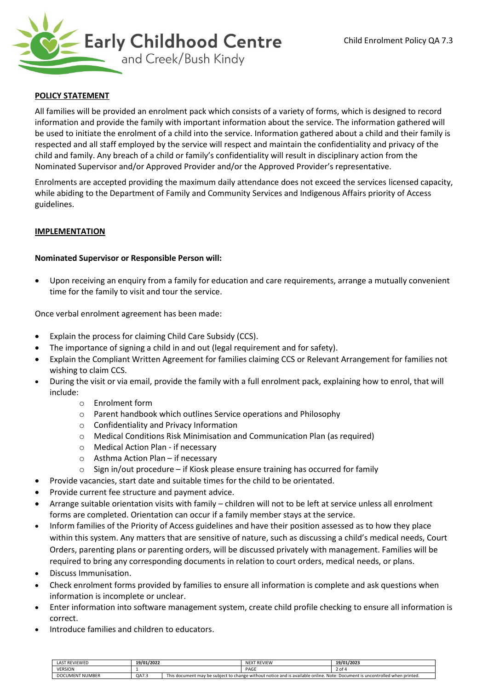

## **POLICY STATEMENT**

All families will be provided an enrolment pack which consists of a variety of forms, which is designed to record information and provide the family with important information about the service. The information gathered will be used to initiate the enrolment of a child into the service. Information gathered about a child and their family is respected and all staff employed by the service will respect and maintain the confidentiality and privacy of the child and family. Any breach of a child or family's confidentiality will result in disciplinary action from the Nominated Supervisor and/or Approved Provider and/or the Approved Provider's representative.

Enrolments are accepted providing the maximum daily attendance does not exceed the services licensed capacity, while abiding to the Department of Family and Community Services and Indigenous Affairs priority of Access guidelines.

## **IMPLEMENTATION**

#### **Nominated Supervisor or Responsible Person will:**

• Upon receiving an enquiry from a family for education and care requirements, arrange a mutually convenient time for the family to visit and tour the service.

Once verbal enrolment agreement has been made:

- Explain the process for claiming Child Care Subsidy (CCS).
- The importance of signing a child in and out (legal requirement and for safety).
- Explain the Compliant Written Agreement for families claiming CCS or Relevant Arrangement for families not wishing to claim CCS.
- During the visit or via email, provide the family with a full enrolment pack, explaining how to enrol, that will include:
	- o Enrolment form
	- o Parent handbook which outlines Service operations and Philosophy
	- o Confidentiality and Privacy Information
	- o Medical Conditions Risk Minimisation and Communication Plan (as required)
	- o Medical Action Plan if necessary
	- o Asthma Action Plan if necessary
	- o Sign in/out procedure if Kiosk please ensure training has occurred for family
- Provide vacancies, start date and suitable times for the child to be orientated.
- Provide current fee structure and payment advice.
- Arrange suitable orientation visits with family children will not to be left at service unless all enrolment forms are completed. Orientation can occur if a family member stays at the service.
- Inform families of the Priority of Access guidelines and have their position assessed as to how they place within this system. Any matters that are sensitive of nature, such as discussing a child's medical needs, Court Orders, parenting plans or parenting orders, will be discussed privately with management. Families will be required to bring any corresponding documents in relation to court orders, medical needs, or plans.
- Discuss Immunisation.
- Check enrolment forms provided by families to ensure all information is complete and ask questions when information is incomplete or unclear.
- Enter information into software management system, create child profile checking to ensure all information is correct.
- Introduce families and children to educators.

| <b>LAST REVIEWED</b>   | 19/01/2022 |                                                                                                                                   | <b>NEXT REVIEW</b> | 19/01/2023 |
|------------------------|------------|-----------------------------------------------------------------------------------------------------------------------------------|--------------------|------------|
| <b>VERSION</b>         |            |                                                                                                                                   | PAGE               | 2 of       |
| <b>DOCUMENT NUMBER</b> | QA7.3      | This document may be subject to change without notice and is available<br>Note: Document is uncontrolled when printed.<br>online. |                    |            |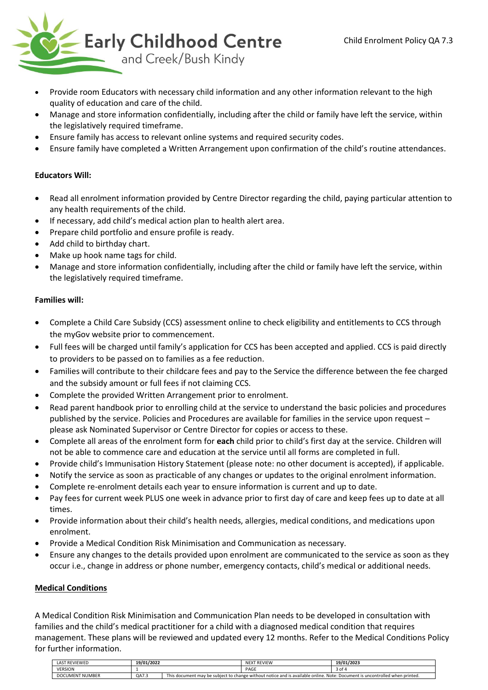

- Provide room Educators with necessary child information and any other information relevant to the high quality of education and care of the child.
- Manage and store information confidentially, including after the child or family have left the service, within the legislatively required timeframe.
- Ensure family has access to relevant online systems and required security codes.
- Ensure family have completed a Written Arrangement upon confirmation of the child's routine attendances.

## **Educators Will:**

- Read all enrolment information provided by Centre Director regarding the child, paying particular attention to any health requirements of the child.
- If necessary, add child's medical action plan to health alert area.
- Prepare child portfolio and ensure profile is ready.
- Add child to birthday chart.
- Make up hook name tags for child.
- Manage and store information confidentially, including after the child or family have left the service, within the legislatively required timeframe.

## **Families will:**

- Complete a Child Care Subsidy (CCS) assessment online to check eligibility and entitlements to CCS through the myGov website prior to commencement.
- Full fees will be charged until family's application for CCS has been accepted and applied. CCS is paid directly to providers to be passed on to families as a fee reduction.
- Families will contribute to their childcare fees and pay to the Service the difference between the fee charged and the subsidy amount or full fees if not claiming CCS.
- Complete the provided Written Arrangement prior to enrolment.
- Read parent handbook prior to enrolling child at the service to understand the basic policies and procedures published by the service. Policies and Procedures are available for families in the service upon request – please ask Nominated Supervisor or Centre Director for copies or access to these.
- Complete all areas of the enrolment form for **each** child prior to child's first day at the service. Children will not be able to commence care and education at the service until all forms are completed in full.
- Provide child's Immunisation History Statement (please note: no other document is accepted), if applicable.
- Notify the service as soon as practicable of any changes or updates to the original enrolment information.
- Complete re-enrolment details each year to ensure information is current and up to date.
- Pay fees for current week PLUS one week in advance prior to first day of care and keep fees up to date at all times.
- Provide information about their child's health needs, allergies, medical conditions, and medications upon enrolment.
- Provide a Medical Condition Risk Minimisation and Communication as necessary.
- Ensure any changes to the details provided upon enrolment are communicated to the service as soon as they occur i.e., change in address or phone number, emergency contacts, child's medical or additional needs.

## **Medical Conditions**

A Medical Condition Risk Minimisation and Communication Plan needs to be developed in consultation with families and the child's medical practitioner for a child with a diagnosed medical condition that requires management. These plans will be reviewed and updated every 12 months. Refer to the Medical Conditions Policy for further information.

| <b>LAST REVIEWED</b>   | 19/01/2022 |                                                                                                                             | <b>NEXT REVIEW</b> | 19/01/2023 |
|------------------------|------------|-----------------------------------------------------------------------------------------------------------------------------|--------------------|------------|
| <b>VERSION</b>         |            |                                                                                                                             | PAGE               | ⊿ of 4     |
| <b>DOCUMENT NUMBER</b> | QA7.3      | This document may be subject to change without notice and is available online. Note: Document is uncontrolled when printed. |                    |            |